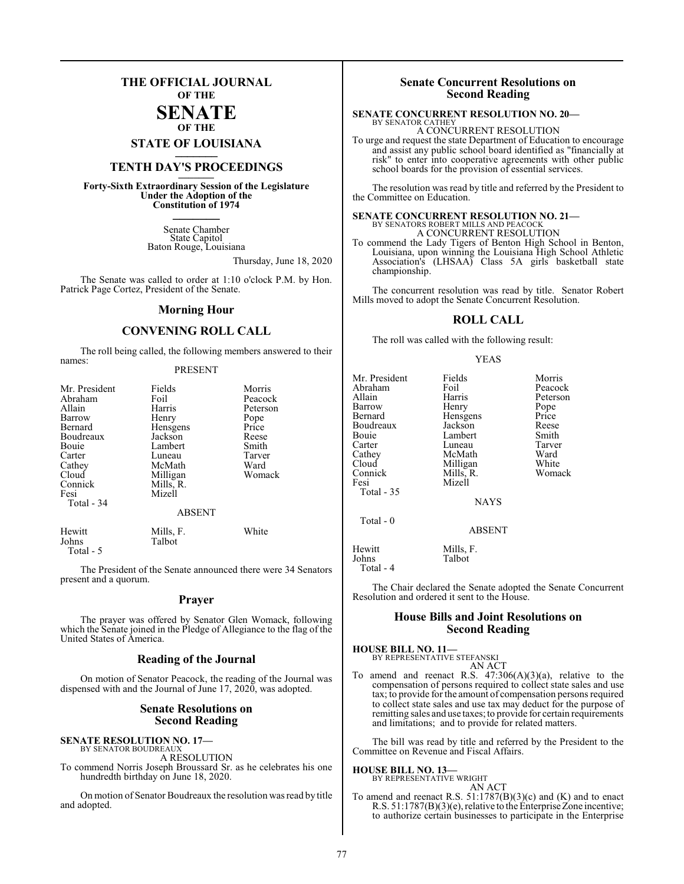### **THE OFFICIAL JOURNAL OF THE**

#### **SENATE OF THE**

**STATE OF LOUISIANA \_\_\_\_\_\_\_**

### **TENTH DAY'S PROCEEDINGS \_\_\_\_\_\_\_**

**Forty-Sixth Extraordinary Session of the Legislature Under the Adoption of the Constitution of 1974 \_\_\_\_\_\_\_**

> Senate Chamber State Capitol Baton Rouge, Louisiana

> > Thursday, June 18, 2020

The Senate was called to order at 1:10 o'clock P.M. by Hon. Patrick Page Cortez, President of the Senate.

#### **Morning Hour**

### **CONVENING ROLL CALL**

The roll being called, the following members answered to their names:

#### PRESENT

| Mr. President<br>Abraham<br>Allain<br>Barrow<br>Bernard<br>Boudreaux<br>Bouie<br>Carter<br>Cathey<br>Cloud<br>Connick<br>Fesi | Fields<br>Foil<br>Harris<br>Henry<br>Hensgens<br>Jackson<br>Lambert<br>Luneau<br>McMath<br>Milligan<br>Mills, R.<br>Mizell | Morris<br>Peacock<br>Peterson<br>Pope<br>Price<br>Reese<br>Smith<br>Tarver<br>Ward<br>Womack |
|-------------------------------------------------------------------------------------------------------------------------------|----------------------------------------------------------------------------------------------------------------------------|----------------------------------------------------------------------------------------------|
| Total - 34                                                                                                                    | <b>ABSENT</b>                                                                                                              |                                                                                              |
| Hewitt<br>Johns                                                                                                               | Mills, F.<br>Talbot                                                                                                        | White                                                                                        |

Total - 5

The President of the Senate announced there were 34 Senators present and a quorum.

#### **Prayer**

The prayer was offered by Senator Glen Womack, following which the Senate joined in the Pledge of Allegiance to the flag of the United States of America.

#### **Reading of the Journal**

On motion of Senator Peacock, the reading of the Journal was dispensed with and the Journal of June 17, 2020, was adopted.

#### **Senate Resolutions on Second Reading**

**SENATE RESOLUTION NO. 17—**<br>BY SENATOR BOUDREAUX

A RESOLUTION

To commend Norris Joseph Broussard Sr. as he celebrates his one hundredth birthday on June 18, 2020.

On motion of Senator Boudreaux the resolution was read by title and adopted.

#### **Senate Concurrent Resolutions on Second Reading**

#### **SENATE CONCURRENT RESOLUTION NO. 20—** BY SENATOR CATHEY

A CONCURRENT RESOLUTION

To urge and request the state Department of Education to encourage and assist any public school board identified as "financially at risk" to enter into cooperative agreements with other public school boards for the provision of essential services.

The resolution was read by title and referred by the President to the Committee on Education.

# **SENATE CONCURRENT RESOLUTION NO. 21—**<br>BY SENATORS ROBERT MILLS AND PEACOCK<br>A CONCURRENT RESOLUTION

To commend the Lady Tigers of Benton High School in Benton, Louisiana, upon winning the Louisiana High School Athletic Association's (LHSAA) Class 5A girls basketball state championship.

The concurrent resolution was read by title. Senator Robert Mills moved to adopt the Senate Concurrent Resolution.

#### **ROLL CALL**

The roll was called with the following result:

#### YEAS

| Mr. President        | Fields        | Morris   |
|----------------------|---------------|----------|
| Abraham              | Foil          | Peacock  |
| Allain               | Harris        | Peterson |
| Barrow               | Henry         | Pope     |
| Bernard              | Hensgens      | Price    |
| Boudreaux            | Jackson       | Reese    |
| Bouie                | Lambert       | Smith    |
| Carter               | Luneau        | Tarver   |
| Cathey               | McMath        | Ward     |
| Cloud                | Milligan      | White    |
| Connick              | Mills, R.     | Womack   |
| Fesi                 | Mizell        |          |
| Total $-35$          |               |          |
|                      | <b>NAYS</b>   |          |
| Total - 0            |               |          |
|                      | <b>ABSENT</b> |          |
| Hewitt               | Mills, F.     |          |
| Johns<br>$T - 1$ $A$ | Talbot        |          |

Total - 4

The Chair declared the Senate adopted the Senate Concurrent Resolution and ordered it sent to the House.

#### **House Bills and Joint Resolutions on Second Reading**

**HOUSE BILL NO. 11—** BY REPRESENTATIVE STEFANSKI

AN ACT

To amend and reenact R.S. 47:306(A)(3)(a), relative to the compensation of persons required to collect state sales and use tax; to provide for the amount of compensation persons required to collect state sales and use tax may deduct for the purpose of remitting sales and use taxes; to provide for certain requirements and limitations; and to provide for related matters.

The bill was read by title and referred by the President to the Committee on Revenue and Fiscal Affairs.

#### **HOUSE BILL NO. 13—**

BY REPRESENTATIVE WRIGHT AN ACT

To amend and reenact R.S. 51:1787(B)(3)(c) and (K) and to enact R.S. 51:1787(B)(3)(e), relative to the EnterpriseZone incentive; to authorize certain businesses to participate in the Enterprise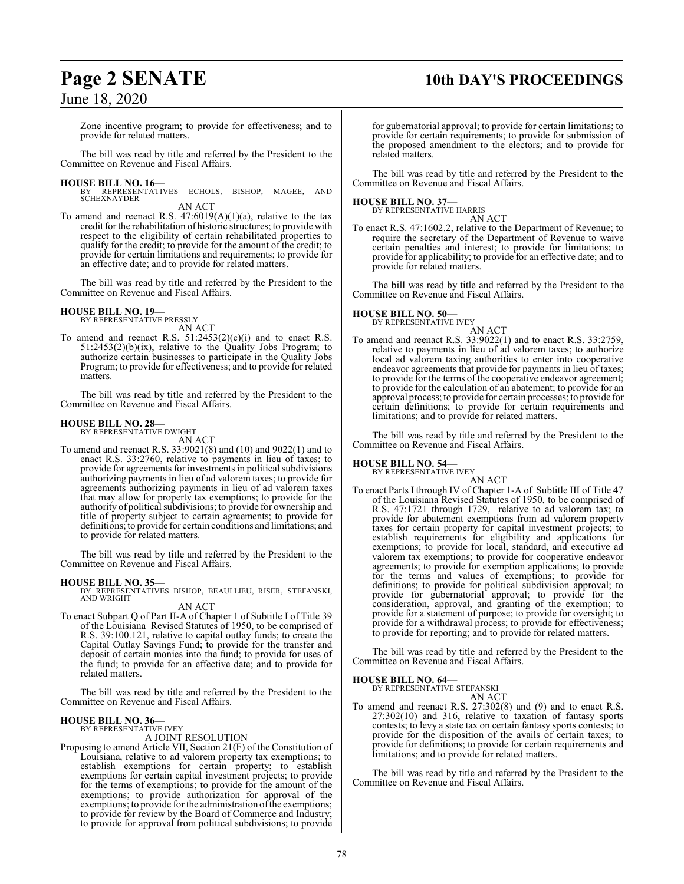### **Page 2 SENATE 10th DAY'S PROCEEDINGS**

### June 18, 2020

Zone incentive program; to provide for effectiveness; and to provide for related matters.

The bill was read by title and referred by the President to the Committee on Revenue and Fiscal Affairs.

**HOUSE BILL NO. 16—** BY REPRESENTATIVES ECHOLS, BISHOP, MAGEE, AND SCHEXNAYDER AN ACT

To amend and reenact R.S. 47:6019(A)(1)(a), relative to the tax credit for the rehabilitation of historic structures; to provide with respect to the eligibility of certain rehabilitated properties to qualify for the credit; to provide for the amount of the credit; to provide for certain limitations and requirements; to provide for an effective date; and to provide for related matters.

The bill was read by title and referred by the President to the Committee on Revenue and Fiscal Affairs.

#### **HOUSE BILL NO. 19—** BY REPRESENTATIVE PRESSLY

AN ACT

To amend and reenact R.S.  $51:2453(2)(c)(i)$  and to enact R.S. 51:2453(2)(b)(ix), relative to the Quality Jobs Program; to authorize certain businesses to participate in the Quality Jobs Program; to provide for effectiveness; and to provide for related matters.

The bill was read by title and referred by the President to the Committee on Revenue and Fiscal Affairs.

#### **HOUSE BILL NO. 28—**

BY REPRESENTATIVE DWIGHT

- AN ACT
- To amend and reenact R.S. 33:9021(8) and (10) and 9022(1) and to enact R.S. 33:2760, relative to payments in lieu of taxes; to provide for agreements for investments in political subdivisions authorizing payments in lieu of ad valorem taxes; to provide for agreements authorizing payments in lieu of ad valorem taxes that may allow for property tax exemptions; to provide for the authority of political subdivisions; to provide for ownership and title of property subject to certain agreements; to provide for definitions; to provide for certain conditions and limitations; and to provide for related matters.

The bill was read by title and referred by the President to the Committee on Revenue and Fiscal Affairs.

**HOUSE BILL NO. 35—** BY REPRESENTATIVES BISHOP, BEAULLIEU, RISER, STEFANSKI, AND WRIGHT

## AN ACT

To enact Subpart Q of Part II-A of Chapter 1 of Subtitle I of Title 39 of the Louisiana Revised Statutes of 1950, to be comprised of R.S. 39:100.121, relative to capital outlay funds; to create the Capital Outlay Savings Fund; to provide for the transfer and deposit of certain monies into the fund; to provide for uses of the fund; to provide for an effective date; and to provide for related matters.

The bill was read by title and referred by the President to the Committee on Revenue and Fiscal Affairs.

## **HOUSE BILL NO. 36—** BY REPRESENTATIVE IVEY

### A JOINT RESOLUTION

Proposing to amend Article VII, Section 21(F) of the Constitution of Louisiana, relative to ad valorem property tax exemptions; to establish exemptions for certain property; to establish exemptions for certain capital investment projects; to provide for the terms of exemptions; to provide for the amount of the exemptions; to provide authorization for approval of the exemptions; to provide for the administration of the exemptions; to provide for review by the Board of Commerce and Industry; to provide for approval from political subdivisions; to provide

for gubernatorial approval; to provide for certain limitations; to provide for certain requirements; to provide for submission of the proposed amendment to the electors; and to provide for related matters.

The bill was read by title and referred by the President to the Committee on Revenue and Fiscal Affairs.

**HOUSE BILL NO. 37—** BY REPRESENTATIVE HARRIS AN ACT

To enact R.S. 47:1602.2, relative to the Department of Revenue; to require the secretary of the Department of Revenue to waive certain penalties and interest; to provide for limitations; to provide for applicability; to provide for an effective date; and to provide for related matters.

The bill was read by title and referred by the President to the Committee on Revenue and Fiscal Affairs.

### **HOUSE BILL NO. 50—** BY REPRESENTATIVE IVEY

AN ACT To amend and reenact R.S. 33:9022(1) and to enact R.S. 33:2759, relative to payments in lieu of ad valorem taxes; to authorize local ad valorem taxing authorities to enter into cooperative endeavor agreements that provide for payments in lieu of taxes; to provide for the terms of the cooperative endeavor agreement; to provide for the calculation of an abatement; to provide for an approval process; to provide for certain processes; to provide for certain definitions; to provide for certain requirements and limitations; and to provide for related matters.

The bill was read by title and referred by the President to the Committee on Revenue and Fiscal Affairs.

## **HOUSE BILL NO. 54—** BY REPRESENTATIVE IVEY

AN ACT To enact Parts I through IV of Chapter 1-A of Subtitle III of Title 47 of the Louisiana Revised Statutes of 1950, to be comprised of R.S. 47:1721 through 1729, relative to ad valorem tax; to provide for abatement exemptions from ad valorem property taxes for certain property for capital investment projects; to establish requirements for eligibility and applications for exemptions; to provide for local, standard, and executive ad valorem tax exemptions; to provide for cooperative endeavor agreements; to provide for exemption applications; to provide for the terms and values of exemptions; to provide for definitions; to provide for political subdivision approval; to provide for gubernatorial approval; to provide for the consideration, approval, and granting of the exemption; to provide for a statement of purpose; to provide for oversight; to provide for a withdrawal process; to provide for effectiveness; to provide for reporting; and to provide for related matters.

The bill was read by title and referred by the President to the Committee on Revenue and Fiscal Affairs.

#### **HOUSE BILL NO. 64—**

BY REPRESENTATIVE STEFANSKI AN ACT

To amend and reenact R.S. 27:302(8) and (9) and to enact R.S. 27:302(10) and 316, relative to taxation of fantasy sports contests; to levy a state tax on certain fantasy sports contests; to provide for the disposition of the avails of certain taxes; to provide for definitions; to provide for certain requirements and limitations; and to provide for related matters.

The bill was read by title and referred by the President to the Committee on Revenue and Fiscal Affairs.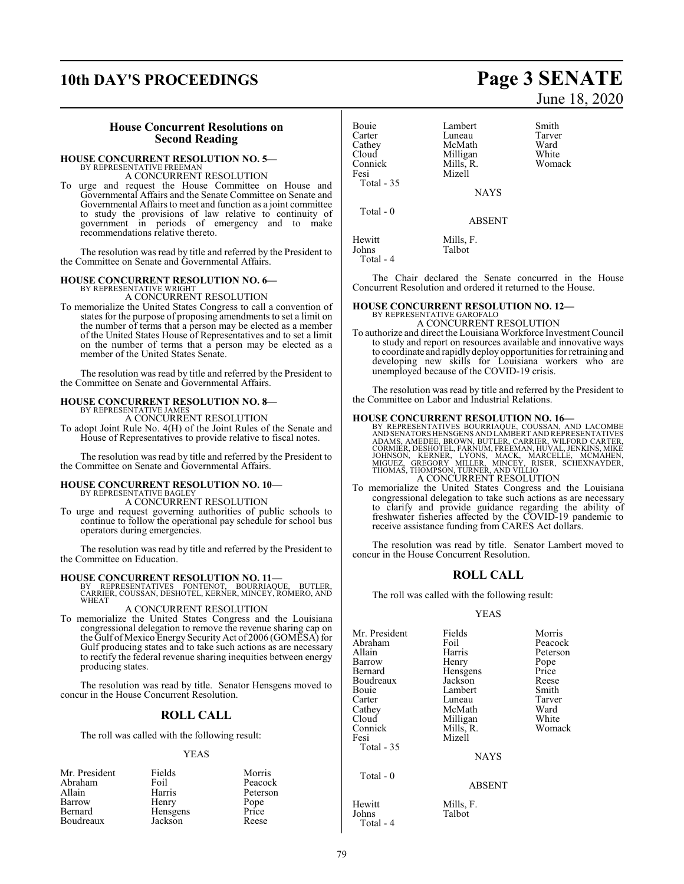## **10th DAY'S PROCEEDINGS Page 3 SENATE**

#### **House Concurrent Resolutions on Second Reading**

#### **HOUSE CONCURRENT RESOLUTION NO. 5—**

BY REPRESENTATIVE FREEMAN A CONCURRENT RESOLUTION

To urge and request the House Committee on House and Governmental Affairs and the Senate Committee on Senate and Governmental Affairs to meet and function as a joint committee to study the provisions of law relative to continuity of government in periods of emergency and to make recommendations relative thereto.

The resolution was read by title and referred by the President to the Committee on Senate and Governmental Affairs.

#### **HOUSE CONCURRENT RESOLUTION NO. 6—**

BY REPRESENTATIVE WRIGHT A CONCURRENT RESOLUTION

To memorialize the United States Congress to call a convention of states for the purpose of proposing amendments to set a limit on the number of terms that a person may be elected as a member of the United States House of Representatives and to set a limit on the number of terms that a person may be elected as a member of the United States Senate.

The resolution was read by title and referred by the President to the Committee on Senate and Governmental Affairs.

### **HOUSE CONCURRENT RESOLUTION NO. 8—** BY REPRESENTATIVE JAMES

A CONCURRENT RESOLUTION

To adopt Joint Rule No. 4(H) of the Joint Rules of the Senate and House of Representatives to provide relative to fiscal notes.

The resolution was read by title and referred by the President to the Committee on Senate and Governmental Affairs.

#### **HOUSE CONCURRENT RESOLUTION NO. 10—** BY REPRESENTATIVE BAGLEY

A CONCURRENT RESOLUTION

To urge and request governing authorities of public schools to continue to follow the operational pay schedule for school bus operators during emergencies.

The resolution was read by title and referred by the President to the Committee on Education.

#### **HOUSE CONCURRENT RESOLUTION NO. 11—**

BY REPRESENTATIVES FONTENOT, BOURRIAQUE, BUTLER, CARRIER, COUSSAN, DESHOTEL, KERNER, MINCEY, ROMERO, AND WHEAT

#### A CONCURRENT RESOLUTION

To memorialize the United States Congress and the Louisiana congressional delegation to remove the revenue sharing cap on the Gulf of Mexico Energy Security Act of 2006 (GOMESA) for Gulf producing states and to take such actions as are necessary to rectify the federal revenue sharing inequities between energy producing states.

The resolution was read by title. Senator Hensgens moved to concur in the House Concurrent Resolution.

### **ROLL CALL**

The roll was called with the following result:

#### YEAS

| Mr. President | Fields   | Morris   |
|---------------|----------|----------|
| Abraham       | Foil     | Peacock  |
| Allain        | Harris   | Peterson |
| Barrow        | Henry    | Pope     |
| Bernard       | Hensgens | Price    |
| Boudreaux     | Jackson  | Reese    |

# June 18, 2020

| Bouie       | Lambert       | Smith  |
|-------------|---------------|--------|
| Carter      | Luneau        | Tarver |
| Cathey      | McMath        | Ward   |
| Cloud       | Milligan      | White  |
| Connick     | Mills, R.     | Womack |
| Fesi        | Mizell        |        |
| Total $-35$ |               |        |
|             | <b>NAYS</b>   |        |
| Total - 0   |               |        |
|             | <b>ABSENT</b> |        |
| Hewitt      | Mills, F.     |        |
| Johns       | Talbot        |        |

Total - 4

The Chair declared the Senate concurred in the House Concurrent Resolution and ordered it returned to the House.

### **HOUSE CONCURRENT RESOLUTION NO. 12—**

BY REPRESENTATIVE GAROFALO A CONCURRENT RESOLUTION

To authorize and direct the Louisiana Workforce Investment Council to study and report on resources available and innovative ways to coordinate and rapidlydeploy opportunities for retraining and developing new skills for Louisiana workers who are unemployed because of the COVID-19 crisis.

The resolution was read by title and referred by the President to the Committee on Labor and Industrial Relations.

#### **HOUSE CONCURRENT RESOLUTION NO. 16—**

BY REPRESENTATIVES BOURRIAQUE, COUSSAN, AND LACOMBE<br>AND SENATORSHENSGENS AND LAMBERT AND REPRESENTATIVES<br>ADAMS, AMEDEE, BROWN, BUTLER, CARRIER, WILFORD CARTER,<br>CORMIER, DESHOTEL, FARNUM, FREEMAN, HUVAL, JENKINS, MIKE<br>JOHNS A CONCURRENT RESOLUTION

#### To memorialize the United States Congress and the Louisiana congressional delegation to take such actions as are necessary to clarify and provide guidance regarding the ability of freshwater fisheries affected by the COVID-19 pandemic to receive assistance funding from CARES Act dollars.

The resolution was read by title. Senator Lambert moved to concur in the House Concurrent Resolution.

#### **ROLL CALL**

The roll was called with the following result:

#### YEAS

| Mr. President<br>Abraham | Fields<br>Foil      | Morris<br>Peacock |
|--------------------------|---------------------|-------------------|
| Allain                   | Harris              | Peterson          |
| Barrow                   |                     |                   |
|                          | Henry               | Pope              |
| Bernard                  | Hensgens            | Price             |
| Boudreaux                | Jackson             | Reese             |
| Bouie                    | Lambert             | Smith             |
| Carter                   | Luneau              | Tarver            |
| Cathey                   | McMath              | Ward              |
| Cloud                    | Milligan            | White             |
| Connick                  | Mills, R.           | Womack            |
| Fesi                     | Mizell              |                   |
| Total $-35$              |                     |                   |
|                          | <b>NAYS</b>         |                   |
| Total $-0$               |                     |                   |
|                          | <b>ABSENT</b>       |                   |
| Hewitt<br><b>Iohns</b>   | Mills, F.<br>Talbot |                   |

Total - 4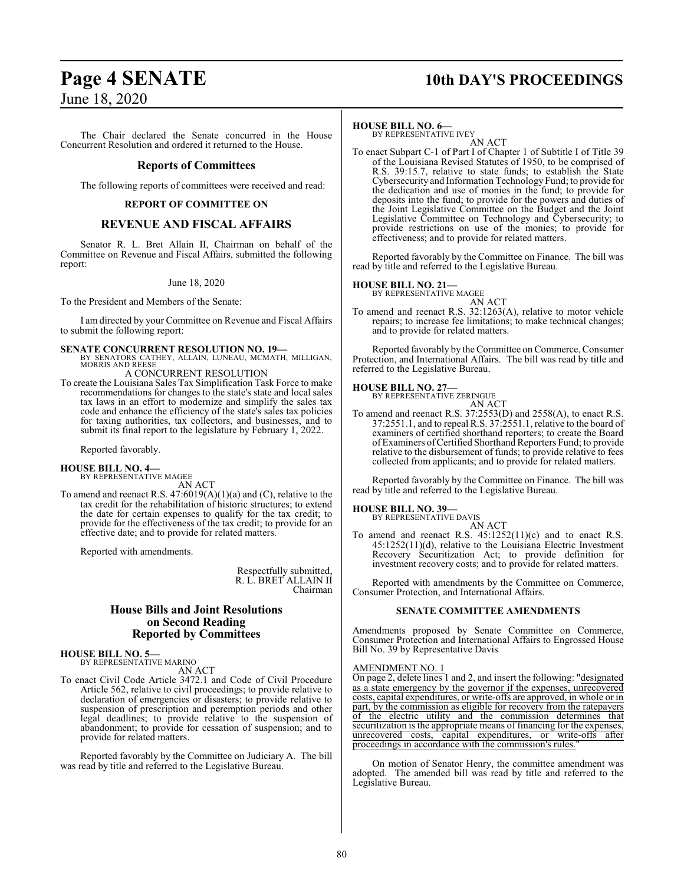## **Page 4 SENATE 10th DAY'S PROCEEDINGS**

June 18, 2020

The Chair declared the Senate concurred in the House Concurrent Resolution and ordered it returned to the House.

#### **Reports of Committees**

The following reports of committees were received and read:

#### **REPORT OF COMMITTEE ON**

### **REVENUE AND FISCAL AFFAIRS**

Senator R. L. Bret Allain II, Chairman on behalf of the Committee on Revenue and Fiscal Affairs, submitted the following report:

#### June 18, 2020

To the President and Members of the Senate:

I am directed by your Committee on Revenue and Fiscal Affairs to submit the following report:

**SENATE CONCURRENT RESOLUTION NO. 19—** BY SENATORS CATHEY, ALLAIN, LUNEAU, MCMATH, MILLIGAN,

MORRIS AND REESE A CONCURRENT RESOLUTION

To create the Louisiana Sales Tax Simplification Task Force to make recommendations for changes to the state's state and local sales tax laws in an effort to modernize and simplify the sales tax code and enhance the efficiency of the state's sales tax policies for taxing authorities, tax collectors, and businesses, and to submit its final report to the legislature by February 1, 2022.

Reported favorably.

**HOUSE BILL NO. 4—** BY REPRESENTATIVE MAGEE

AN ACT

To amend and reenact R.S. 47:6019(A)(1)(a) and (C), relative to the tax credit for the rehabilitation of historic structures; to extend the date for certain expenses to qualify for the tax credit; to provide for the effectiveness of the tax credit; to provide for an effective date; and to provide for related matters.

Reported with amendments.

Respectfully submitted, R. L. BRET ALLAIN II Chairman

### **House Bills and Joint Resolutions on Second Reading Reported by Committees**

**HOUSE BILL NO. 5—** BY REPRESENTATIVE MARINO

AN ACT

To enact Civil Code Article 3472.1 and Code of Civil Procedure Article 562, relative to civil proceedings; to provide relative to declaration of emergencies or disasters; to provide relative to suspension of prescription and peremption periods and other legal deadlines; to provide relative to the suspension of abandonment; to provide for cessation of suspension; and to provide for related matters.

Reported favorably by the Committee on Judiciary A. The bill was read by title and referred to the Legislative Bureau.

#### **HOUSE BILL NO. 6—**

BY REPRESENTATIVE IVEY AN ACT

To enact Subpart C-1 of Part I of Chapter 1 of Subtitle I of Title 39 of the Louisiana Revised Statutes of 1950, to be comprised of R.S. 39:15.7, relative to state funds; to establish the State Cybersecurity and Information Technology Fund; to provide for the dedication and use of monies in the fund; to provide for deposits into the fund; to provide for the powers and duties of the Joint Legislative Committee on the Budget and the Joint Legislative Committee on Technology and Cybersecurity; to provide restrictions on use of the monies; to provide for effectiveness; and to provide for related matters.

Reported favorably by the Committee on Finance. The bill was read by title and referred to the Legislative Bureau.

#### **HOUSE BILL NO. 21—**

BY REPRESENTATIVE MAGEE

AN ACT To amend and reenact R.S. 32:1263(A), relative to motor vehicle repairs; to increase fee limitations; to make technical changes; and to provide for related matters.

Reported favorably by the Committee on Commerce, Consumer Protection, and International Affairs. The bill was read by title and referred to the Legislative Bureau.

### **HOUSE BILL NO. 27—** BY REPRESENTATIVE ZERINGUE

AN ACT

To amend and reenact R.S. 37:2553(D) and 2558(A), to enact R.S. 37:2551.1, and to repeal R.S. 37:2551.1, relative to the board of examiners of certified shorthand reporters; to create the Board of Examiners of Certified Shorthand Reporters Fund; to provide relative to the disbursement of funds; to provide relative to fees collected from applicants; and to provide for related matters.

Reported favorably by the Committee on Finance. The bill was read by title and referred to the Legislative Bureau.

#### **HOUSE BILL NO. 39—**

BY REPRESENTATIVE DAVIS AN ACT

To amend and reenact R.S.  $45:1252(11)(c)$  and to enact R.S. 45:1252(11)(d), relative to the Louisiana Electric Investment Recovery Securitization Act; to provide definition for investment recovery costs; and to provide for related matters.

Reported with amendments by the Committee on Commerce, Consumer Protection, and International Affairs.

#### **SENATE COMMITTEE AMENDMENTS**

Amendments proposed by Senate Committee on Commerce, Consumer Protection and International Affairs to Engrossed House Bill No. 39 by Representative Davis

#### AMENDMENT NO. 1

On page 2, delete lines 1 and 2, and insert the following: "designated as a state emergency by the governor if the expenses, unrecovered costs, capital expenditures, or write-offs are approved, in whole or in part, by the commission as eligible for recovery from the ratepayers of the electric utility and the commission determines that securitization is the appropriate means of financing for the expenses, unrecovered costs, capital expenditures, or write-offs after proceedings in accordance with the commission's rules."

On motion of Senator Henry, the committee amendment was adopted. The amended bill was read by title and referred to the Legislative Bureau.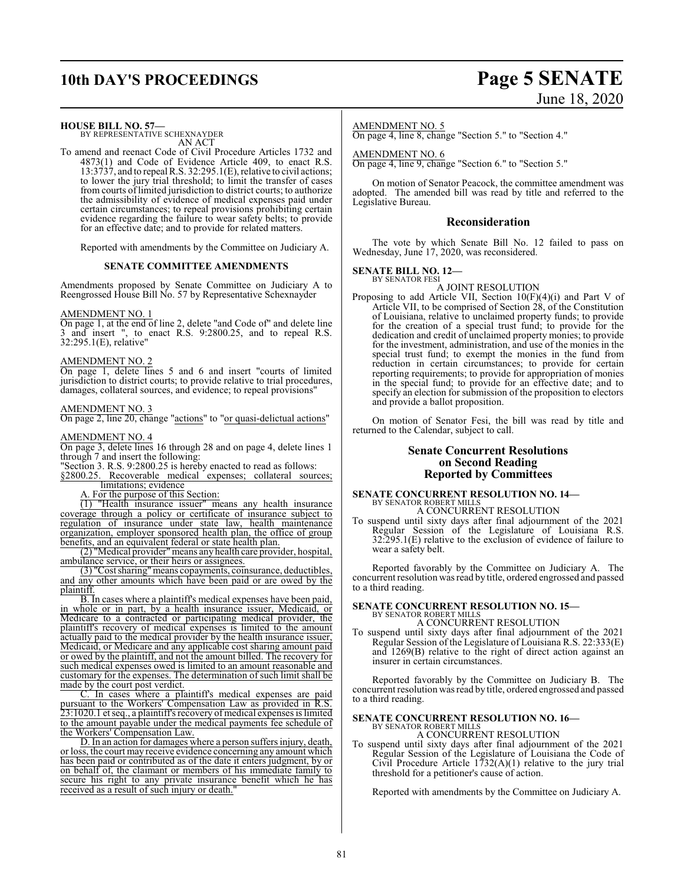## **10th DAY'S PROCEEDINGS Page 5 SENATE**

# June 18, 2020

**HOUSE BILL NO. 57—**

BY REPRESENTATIVE SCHEXNAYDER AN ACT

To amend and reenact Code of Civil Procedure Articles 1732 and 4873(1) and Code of Evidence Article 409, to enact R.S. 13:3737, and to repeal R.S. 32:295.1(E), relative to civil actions; to lower the jury trial threshold; to limit the transfer of cases from courts of limited jurisdiction to district courts; to authorize the admissibility of evidence of medical expenses paid under certain circumstances; to repeal provisions prohibiting certain evidence regarding the failure to wear safety belts; to provide for an effective date; and to provide for related matters.

Reported with amendments by the Committee on Judiciary A.

#### **SENATE COMMITTEE AMENDMENTS**

Amendments proposed by Senate Committee on Judiciary A to Reengrossed House Bill No. 57 by Representative Schexnayder

#### AMENDMENT NO. 1

On page 1, at the end of line 2, delete "and Code of" and delete line 3 and insert ", to enact R.S. 9:2800.25, and to repeal R.S. 32:295.1(E), relative"

#### AMENDMENT NO. 2

On page 1, delete lines 5 and 6 and insert "courts of limited jurisdiction to district courts; to provide relative to trial procedures, damages, collateral sources, and evidence; to repeal provisions"

#### AMENDMENT NO. 3

On page 2, line 20, change "actions" to "or quasi-delictual actions"

#### AMENDMENT NO. 4

On page 3, delete lines 16 through 28 and on page 4, delete lines 1 through 7 and insert the following:

"Section 3. R.S. 9:2800.25 is hereby enacted to read as follows:

§2800.25. Recoverable medical expenses; collateral sources; limitations; evidence

A. For the purpose of this Section:

(1) "Health insurance issuer" means any health insurance coverage through a policy or certificate of insurance subject to regulation of insurance under state law, health maintenance organization, employer sponsored health plan, the office of group benefits, and an equivalent federal or state health plan.

(2) "Medical provider"means any health care provider, hospital, ambulance service, or their heirs or assignees.

(3) "Cost sharing"means copayments, coinsurance, deductibles, and any other amounts which have been paid or are owed by the plaintiff.

B. In cases where a plaintiff's medical expenses have been paid, in whole or in part, by a health insurance issuer, Medicaid, or Medicare to a contracted or participating medical provider, the plaintiff's recovery of medical expenses is limited to the amount actually paid to the medical provider by the health insurance issuer, Medicaid, or Medicare and any applicable cost sharing amount paid or owed by the plaintiff, and not the amount billed. The recovery for such medical expenses owed is limited to an amount reasonable and customary for the expenses. The determination of such limit shall be made by the court post verdict.

C. In cases where a plaintiff's medical expenses are paid pursuant to the Workers' Compensation Law as provided in R.S. 23:1020.1 et seq., a plaintiff's recovery of medical expenses is limited to the amount payable under the medical payments fee schedule of the Workers' Compensation Law.

D. In an action for damages where a person suffers injury, death, or loss, the court may receive evidence concerning any amount which has been paid or contributed as of the date it enters judgment, by or on behalf of, the claimant or members of his immediate family to secure his right to any private insurance benefit which he has received as a result of such injury or death.

#### AMENDMENT NO. 5

On page 4, line 8, change "Section 5." to "Section 4."

AMENDMENT NO. 6

On page 4, line 9, change "Section 6." to "Section 5."

On motion of Senator Peacock, the committee amendment was adopted. The amended bill was read by title and referred to the Legislative Bureau.

#### **Reconsideration**

The vote by which Senate Bill No. 12 failed to pass on Wednesday, June 17, 2020, was reconsidered.

#### **SENATE BILL NO. 12—** BY SENATOR FESI

A JOINT RESOLUTION

Proposing to add Article VII, Section 10(F)(4)(i) and Part V of Article VII, to be comprised of Section 28, of the Constitution of Louisiana, relative to unclaimed property funds; to provide for the creation of a special trust fund; to provide for the dedication and credit of unclaimed property monies; to provide for the investment, administration, and use of the monies in the special trust fund; to exempt the monies in the fund from reduction in certain circumstances; to provide for certain reporting requirements; to provide for appropriation of monies in the special fund; to provide for an effective date; and to specify an election for submission of the proposition to electors and provide a ballot proposition.

On motion of Senator Fesi, the bill was read by title and returned to the Calendar, subject to call.

#### **Senate Concurrent Resolutions on Second Reading Reported by Committees**

#### **SENATE CONCURRENT RESOLUTION NO. 14—** BY SENATOR ROBERT MILLS A CONCURRENT RESOLUTION

To suspend until sixty days after final adjournment of the 2021 Regular Session of the Legislature of Louisiana R.S. 32:295.1(E) relative to the exclusion of evidence of failure to wear a safety belt.

Reported favorably by the Committee on Judiciary A. The concurrent resolution was read by title, ordered engrossed and passed to a third reading.

#### **SENATE CONCURRENT RESOLUTION NO. 15—** BY SENATOR ROBERT MILLS A CONCURRENT RESOLUTION

To suspend until sixty days after final adjournment of the 2021 Regular Session of the Legislature of Louisiana R.S. 22:333(E) and 1269(B) relative to the right of direct action against an insurer in certain circumstances.

Reported favorably by the Committee on Judiciary B. The concurrent resolution was read by title, ordered engrossed and passed to a third reading.

### **SENATE CONCURRENT RESOLUTION NO. 16—**

BY SENATOR ROBERT MILLS A CONCURRENT RESOLUTION

To suspend until sixty days after final adjournment of the 2021 Regular Session of the Legislature of Louisiana the Code of Civil Procedure Article  $1732(A)(1)$  relative to the jury trial threshold for a petitioner's cause of action.

Reported with amendments by the Committee on Judiciary A.